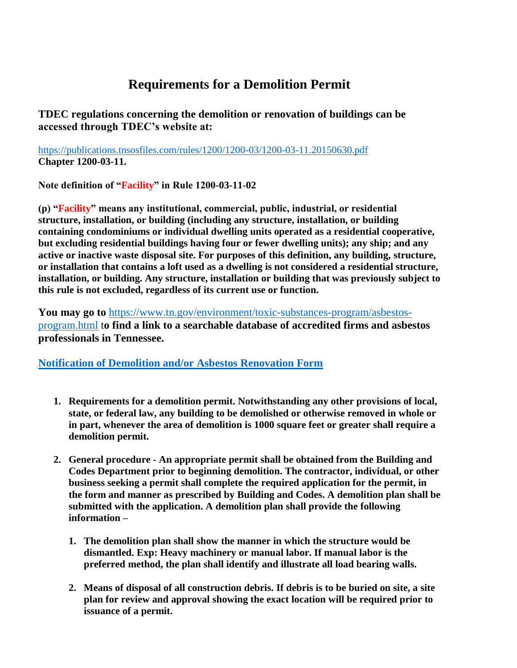## **Requirements for a Demolition Permit**

**TDEC regulations concerning the demolition or renovation of buildings can be accessed through TDEC's website at:**

<https://publications.tnsosfiles.com/rules/1200/1200-03/1200-03-11.20150630.pdf> **Chapter 1200-03-11.** 

**Note definition of "Facility" in Rule 1200-03-11-02**

**(p) "Facility" means any institutional, commercial, public, industrial, or residential structure, installation, or building (including any structure, installation, or building containing condominiums or individual dwelling units operated as a residential cooperative, but excluding residential buildings having four or fewer dwelling units); any ship; and any active or inactive waste disposal site. For purposes of this definition, any building, structure, or installation that contains a loft used as a dwelling is not considered a residential structure, installation, or building. Any structure, installation or building that was previously subject to this rule is not excluded, regardless of its current use or function.**

**You may go to** [https://www.tn.gov/environment/toxic-substances-program/asbestos](https://www.tn.gov/environment/toxic-substances-program/asbestos-program.html)[program.html](https://www.tn.gov/environment/toxic-substances-program/asbestos-program.html) t**o find a link to a searchable database of accredited firms and asbestos professionals in Tennessee.**

**[Notification of Demolition and/or Asbestos Renovation Form](http://tdec.tn.gov/etdec/DownloadFile.aspx?row_id=CN-1055)**

- **1. Requirements for a demolition permit. Notwithstanding any other provisions of local, state, or federal law, any building to be demolished or otherwise removed in whole or in part, whenever the area of demolition is 1000 square feet or greater shall require a demolition permit.**
- **2. General procedure - An appropriate permit shall be obtained from the Building and Codes Department prior to beginning demolition. The contractor, individual, or other business seeking a permit shall complete the required application for the permit, in the form and manner as prescribed by Building and Codes. A demolition plan shall be submitted with the application. A demolition plan shall provide the following information –**
	- **1. The demolition plan shall show the manner in which the structure would be dismantled. Exp: Heavy machinery or manual labor. If manual labor is the preferred method, the plan shall identify and illustrate all load bearing walls.**
	- **2. Means of disposal of all construction debris. If debris is to be buried on site, a site plan for review and approval showing the exact location will be required prior to issuance of a permit.**